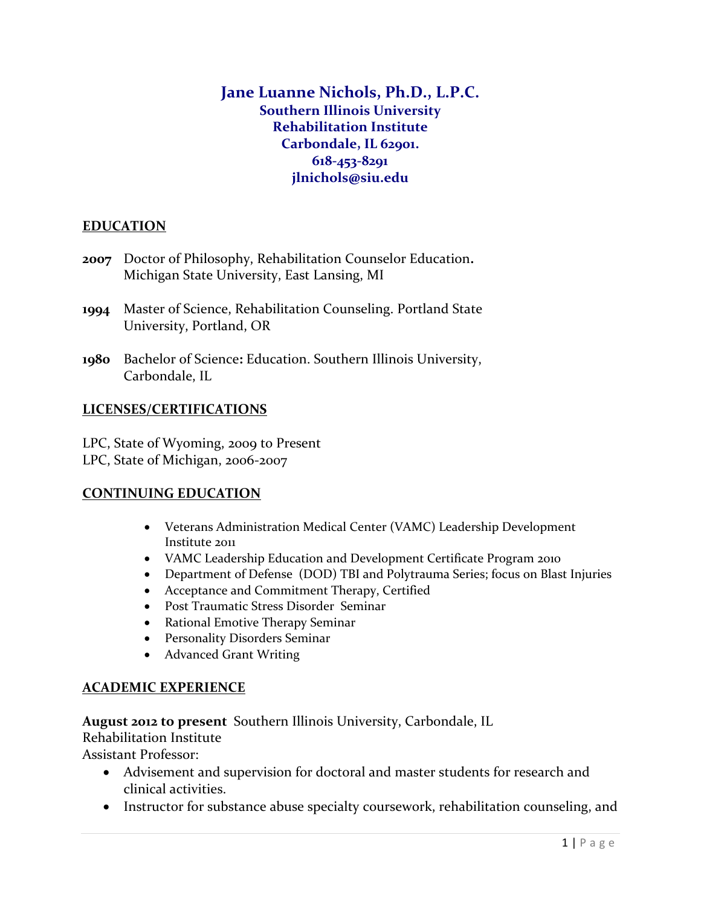# **Jane Luanne Nichols, Ph.D., L.P.C. Southern Illinois University Rehabilitation Institute Carbondale, IL 62901. 618-453-8291 jlnichols@siu.edu**

### **EDUCATION**

- **2007** Doctor of Philosophy, Rehabilitation Counselor Education**.** Michigan State University, East Lansing, MI
- **1994** Master of Science, Rehabilitation Counseling. Portland State University, Portland, OR
- **1980** Bachelor of Science**:** Education. Southern Illinois University, Carbondale, IL

### **LICENSES/CERTIFICATIONS**

LPC, State of Wyoming, 2009 to Present LPC, State of Michigan, 2006-2007

### **CONTINUING EDUCATION**

- Veterans Administration Medical Center (VAMC) Leadership Development Institute 2011
- VAMC Leadership Education and Development Certificate Program 2010
- Department of Defense (DOD) TBI and Polytrauma Series; focus on Blast Injuries
- Acceptance and Commitment Therapy, Certified
- Post Traumatic Stress Disorder Seminar
- Rational Emotive Therapy Seminar
- Personality Disorders Seminar
- Advanced Grant Writing

# **ACADEMIC EXPERIENCE**

**August 2012 to present** Southern Illinois University, Carbondale, IL

Rehabilitation Institute

Assistant Professor:

- Advisement and supervision for doctoral and master students for research and clinical activities.
- Instructor for substance abuse specialty coursework, rehabilitation counseling, and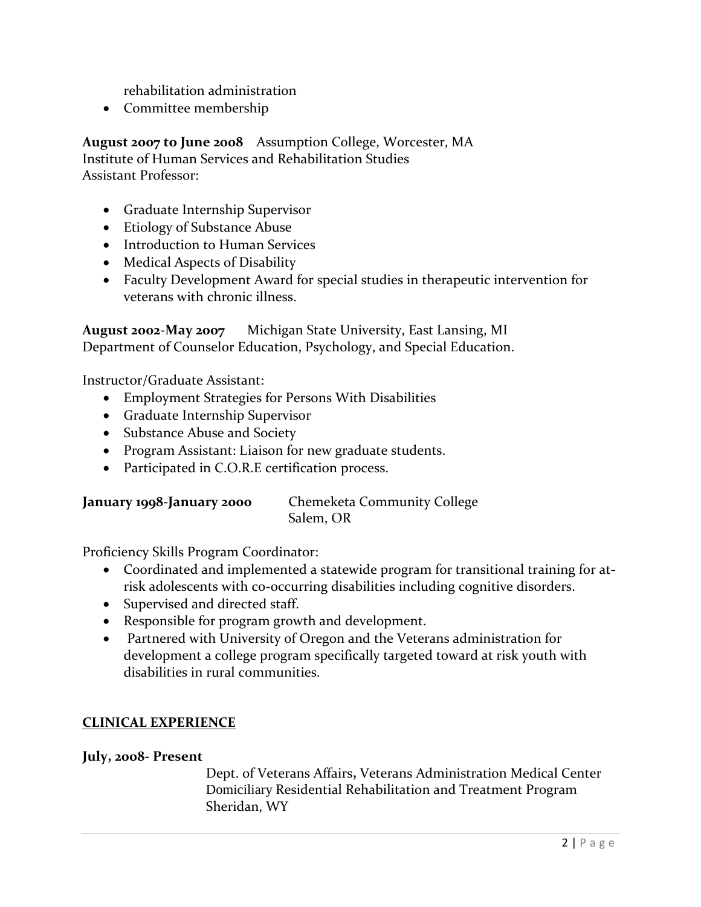rehabilitation administration

• Committee membership

**August 2007 to June 2008** Assumption College, Worcester, MA Institute of Human Services and Rehabilitation Studies Assistant Professor:

- Graduate Internship Supervisor
- Etiology of Substance Abuse
- Introduction to Human Services
- Medical Aspects of Disability
- Faculty Development Award for special studies in therapeutic intervention for veterans with chronic illness.

**August 2002-May 2007** Michigan State University, East Lansing, MI Department of Counselor Education, Psychology, and Special Education.

Instructor/Graduate Assistant:

- Employment Strategies for Persons With Disabilities
- Graduate Internship Supervisor
- Substance Abuse and Society
- Program Assistant: Liaison for new graduate students.
- Participated in C.O.R.E certification process.

| January 1998-January 2000 | <b>Chemeketa Community College</b> |  |
|---------------------------|------------------------------------|--|
|                           | Salem, OR                          |  |

Proficiency Skills Program Coordinator:

- Coordinated and implemented a statewide program for transitional training for atrisk adolescents with co-occurring disabilities including cognitive disorders.
- Supervised and directed staff.
- Responsible for program growth and development.
- Partnered with University of Oregon and the Veterans administration for development a college program specifically targeted toward at risk youth with disabilities in rural communities.

### **CLINICAL EXPERIENCE**

#### **July, 2008- Present**

Dept. of Veterans Affairs**,** Veterans Administration Medical Center Domiciliary Residential Rehabilitation and Treatment Program Sheridan, WY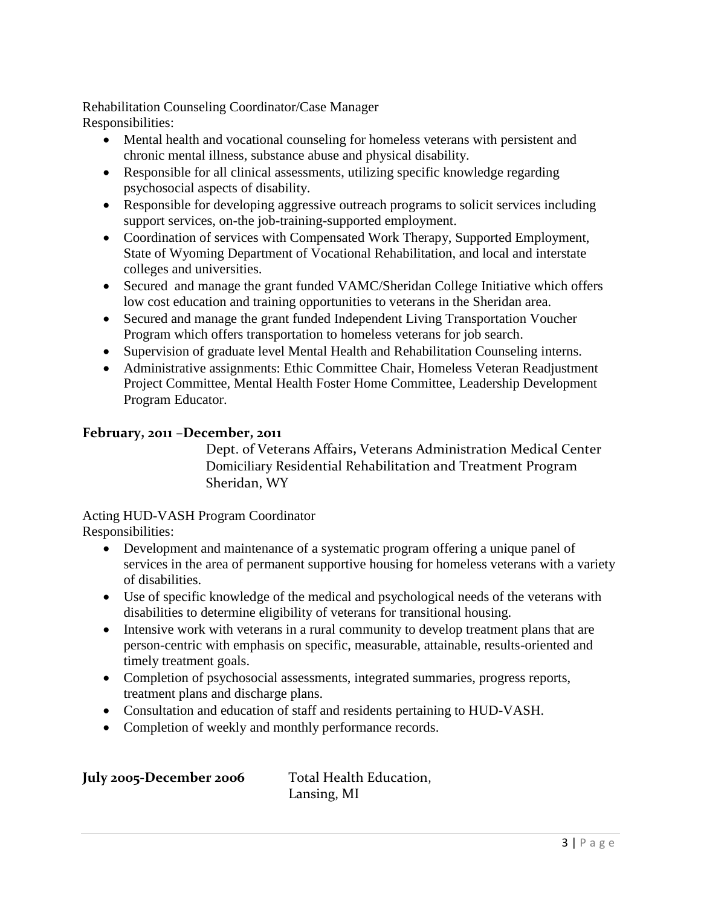Rehabilitation Counseling Coordinator/Case Manager Responsibilities:

- Mental health and vocational counseling for homeless veterans with persistent and chronic mental illness, substance abuse and physical disability.
- Responsible for all clinical assessments, utilizing specific knowledge regarding psychosocial aspects of disability.
- Responsible for developing aggressive outreach programs to solicit services including support services, on-the job-training-supported employment.
- Coordination of services with Compensated Work Therapy, Supported Employment, State of Wyoming Department of Vocational Rehabilitation, and local and interstate colleges and universities.
- Secured and manage the grant funded VAMC/Sheridan College Initiative which offers low cost education and training opportunities to veterans in the Sheridan area.
- Secured and manage the grant funded Independent Living Transportation Voucher Program which offers transportation to homeless veterans for job search.
- Supervision of graduate level Mental Health and Rehabilitation Counseling interns.
- Administrative assignments: Ethic Committee Chair, Homeless Veteran Readjustment Project Committee, Mental Health Foster Home Committee, Leadership Development Program Educator.

### **February, 2011 –December, 2011**

Dept. of Veterans Affairs**,** Veterans Administration Medical Center Domiciliary Residential Rehabilitation and Treatment Program Sheridan, WY

Acting HUD-VASH Program Coordinator Responsibilities:

- Development and maintenance of a systematic program offering a unique panel of services in the area of permanent supportive housing for homeless veterans with a variety of disabilities.
- Use of specific knowledge of the medical and psychological needs of the veterans with disabilities to determine eligibility of veterans for transitional housing.
- Intensive work with veterans in a rural community to develop treatment plans that are person-centric with emphasis on specific, measurable, attainable, results-oriented and timely treatment goals.
- Completion of psychosocial assessments, integrated summaries, progress reports, treatment plans and discharge plans.
- Consultation and education of staff and residents pertaining to HUD-VASH.
- Completion of weekly and monthly performance records.

| July 2005-December 2006 | <b>Total Health Education</b> |
|-------------------------|-------------------------------|
|                         | Lansing, MI                   |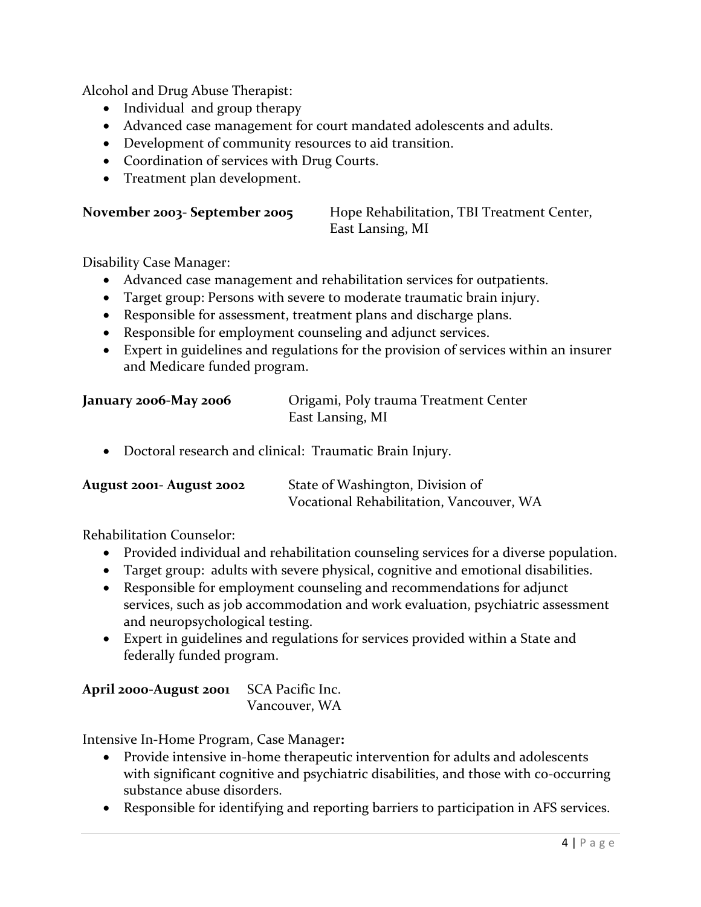Alcohol and Drug Abuse Therapist:

- Individual and group therapy
- Advanced case management for court mandated adolescents and adults.
- Development of community resources to aid transition.
- Coordination of services with Drug Courts.
- Treatment plan development.

| November 2003- September 2005 | Hope Rehabilitation, TBI Treatment Center, |
|-------------------------------|--------------------------------------------|
|                               | East Lansing, MI                           |

Disability Case Manager:

- Advanced case management and rehabilitation services for outpatients.
- Target group: Persons with severe to moderate traumatic brain injury.
- Responsible for assessment, treatment plans and discharge plans.
- Responsible for employment counseling and adjunct services.
- Expert in guidelines and regulations for the provision of services within an insurer and Medicare funded program.

| January 2006-May 2006 | Origami, Poly trauma Treatment Center |
|-----------------------|---------------------------------------|
|                       | East Lansing, MI                      |

Doctoral research and clinical: Traumatic Brain Injury.

| <b>August 2001- August 2002</b> | State of Washington, Division of         |  |
|---------------------------------|------------------------------------------|--|
|                                 | Vocational Rehabilitation, Vancouver, WA |  |

Rehabilitation Counselor:

- Provided individual and rehabilitation counseling services for a diverse population.
- Target group: adults with severe physical, cognitive and emotional disabilities.
- Responsible for employment counseling and recommendations for adjunct services, such as job accommodation and work evaluation, psychiatric assessment and neuropsychological testing.
- Expert in guidelines and regulations for services provided within a State and federally funded program.

| April 2000-August 2001 SCA Pacific Inc. |               |
|-----------------------------------------|---------------|
|                                         | Vancouver, WA |

Intensive In-Home Program, Case Manager**:** 

- Provide intensive in-home therapeutic intervention for adults and adolescents with significant cognitive and psychiatric disabilities, and those with co-occurring substance abuse disorders.
- Responsible for identifying and reporting barriers to participation in AFS services.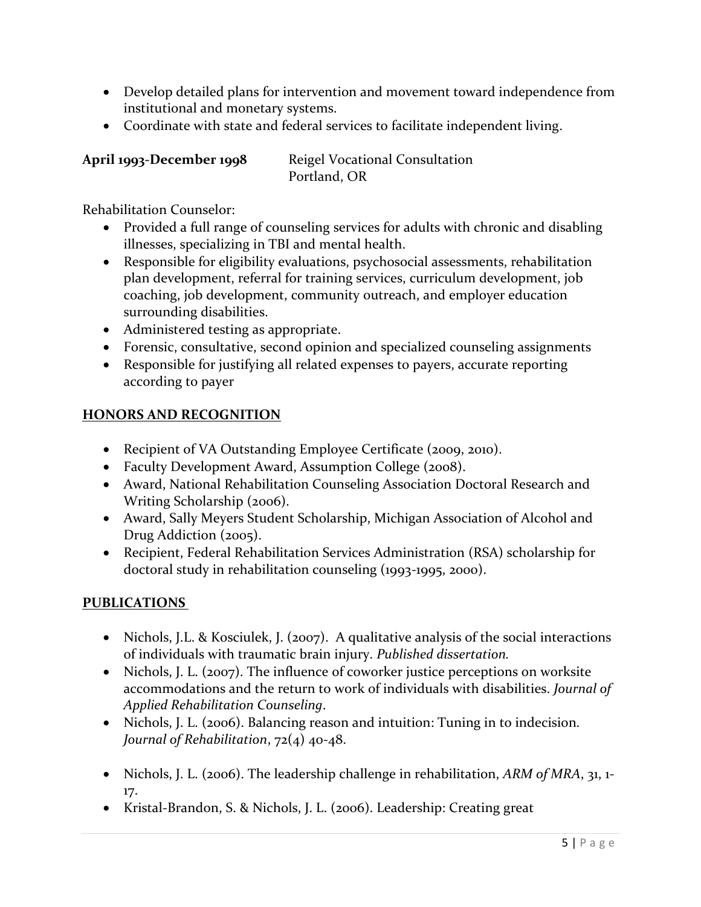- Develop detailed plans for intervention and movement toward independence from institutional and monetary systems.
- Coordinate with state and federal services to facilitate independent living.

| April 1993-December 1998 | Reigel Vocational Consultation |
|--------------------------|--------------------------------|
|                          | Portland, OR                   |

Rehabilitation Counselor:

- Provided a full range of counseling services for adults with chronic and disabling illnesses, specializing in TBI and mental health.
- Responsible for eligibility evaluations, psychosocial assessments, rehabilitation plan development, referral for training services, curriculum development, job coaching, job development, community outreach, and employer education surrounding disabilities.
- Administered testing as appropriate.
- Forensic, consultative, second opinion and specialized counseling assignments
- Responsible for justifying all related expenses to payers, accurate reporting according to payer

### **HONORS AND RECOGNITION**

- Recipient of VA Outstanding Employee Certificate (2009, 2010).
- Faculty Development Award, Assumption College (2008).
- Award, National Rehabilitation Counseling Association Doctoral Research and Writing Scholarship (2006).
- Award, Sally Meyers Student Scholarship, Michigan Association of Alcohol and Drug Addiction (2005).
- Recipient, Federal Rehabilitation Services Administration (RSA) scholarship for doctoral study in rehabilitation counseling (1993-1995, 2000).

# **PUBLICATIONS**

- Nichols, J.L. & Kosciulek, J. (2007). A qualitative analysis of the social interactions of individuals with traumatic brain injury. *Published dissertation.*
- Nichols, J. L. (2007). The influence of coworker justice perceptions on worksite accommodations and the return to work of individuals with disabilities. *Journal of Applied Rehabilitation Counseling*.
- Nichols, J. L. (2006). Balancing reason and intuition: Tuning in to indecision*. Journal of Rehabilitation*, 72(4) 40-48.
- Nichols, J. L. (2006). The leadership challenge in rehabilitation, *ARM of MRA*, 31, 1- 17.
- Kristal-Brandon, S. & Nichols, J. L. (2006). Leadership: Creating great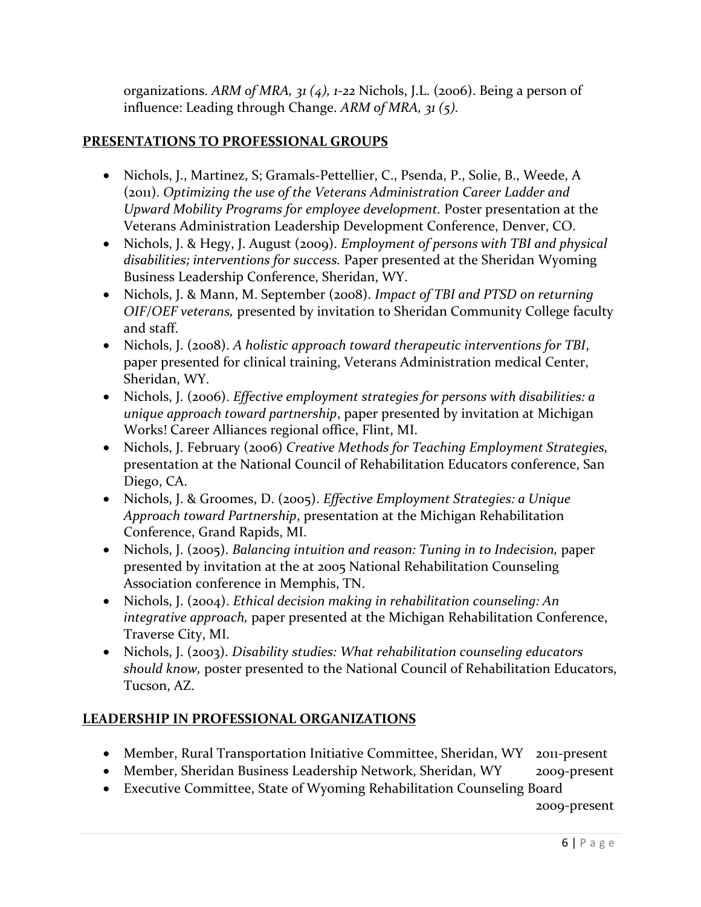organizations. *ARM of MRA, 31 (4), 1-22* Nichols, J.L. (2006). Being a person of influence: Leading through Change. *ARM of MRA, 31 (5).* 

# **PRESENTATIONS TO PROFESSIONAL GROUPS**

- Nichols, J., Martinez, S; Gramals-Pettellier, C., Psenda, P., Solie, B., Weede, A (2011). *Optimizing the use of the Veterans Administration Career Ladder and Upward Mobility Programs for employee development.* Poster presentation at the Veterans Administration Leadership Development Conference, Denver, CO.
- Nichols, J. & Hegy, J. August (2009). *Employment of persons with TBI and physical disabilities; interventions for success.* Paper presented at the Sheridan Wyoming Business Leadership Conference, Sheridan, WY.
- Nichols, J. & Mann, M. September (2008). *Impact of TBI and PTSD on returning OIF/OEF veterans,* presented by invitation to Sheridan Community College faculty and staff.
- Nichols, J. (2008). *A holistic approach toward therapeutic interventions for TBI*, paper presented for clinical training, Veterans Administration medical Center, Sheridan, WY.
- Nichols, J. (2006). *Effective employment strategies for persons with disabilities: a unique approach toward partnership*, paper presented by invitation at Michigan Works! Career Alliances regional office, Flint, MI.
- Nichols, J. February (2006) *Creative Methods for Teaching Employment Strategies,*  presentation at the National Council of Rehabilitation Educators conference, San Diego, CA.
- Nichols, J. & Groomes, D. (2005). *Effective Employment Strategies: a Unique Approach toward Partnership*, presentation at the Michigan Rehabilitation Conference, Grand Rapids, MI.
- Nichols, J. (2005). *Balancing intuition and reason: Tuning in to Indecision,* paper presented by invitation at the at 2005 National Rehabilitation Counseling Association conference in Memphis, TN.
- Nichols, J. (2004). *Ethical decision making in rehabilitation counseling: An integrative approach,* paper presented at the Michigan Rehabilitation Conference, Traverse City, MI.
- Nichols, J. (2003). *Disability studies: What rehabilitation counseling educators should know,* poster presented to the National Council of Rehabilitation Educators, Tucson, AZ.

# **LEADERSHIP IN PROFESSIONAL ORGANIZATIONS**

- Member, Rural Transportation Initiative Committee, Sheridan, WY 2011-present
- Member, Sheridan Business Leadership Network, Sheridan, WY 2009-present
- Executive Committee, State of Wyoming Rehabilitation Counseling Board

2009-present